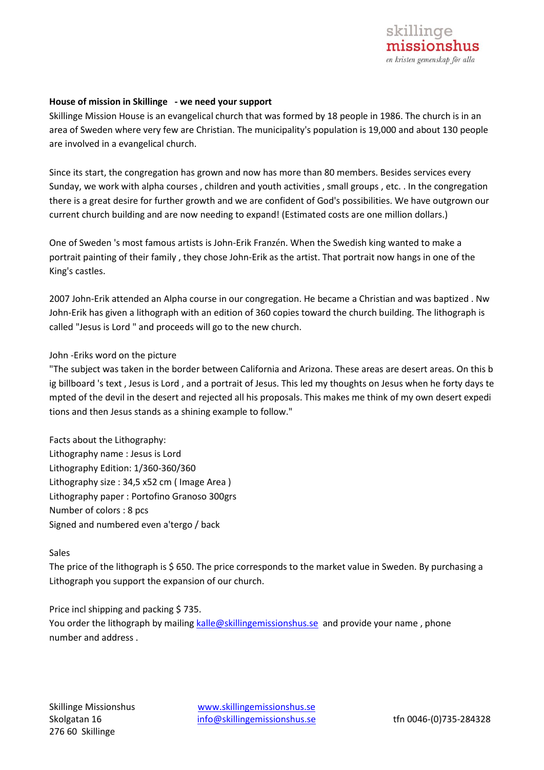## **House of mission in Skillinge - we need your support**

Skillinge Mission House is an evangelical church that was formed by 18 people in 1986. The church is in an area of Sweden where very few are Christian. The municipality's population is 19,000 and about 130 people are involved in a evangelical church.

Since its start, the congregation has grown and now has more than 80 members. Besides services every Sunday, we work with alpha courses , children and youth activities , small groups , etc. . In the congregation there is a great desire for further growth and we are confident of God's possibilities. We have outgrown our current church building and are now needing to expand! (Estimated costs are one million dollars.)

One of Sweden 's most famous artists is John-Erik Franzén. When the Swedish king wanted to make a portrait painting of their family , they chose John-Erik as the artist. That portrait now hangs in one of the King's castles.

2007 John-Erik attended an Alpha course in our congregation. He became a Christian and was baptized . Nw John-Erik has given a lithograph with an edition of 360 copies toward the church building. The lithograph is called "Jesus is Lord " and proceeds will go to the new church.

## John -Eriks word on the picture

"The subject was taken in the border between California and Arizona. These areas are desert areas. On this b ig billboard 's text , Jesus is Lord , and a portrait of Jesus. This led my thoughts on Jesus when he forty days te mpted of the devil in the desert and rejected all his proposals. This makes me think of my own desert expedi tions and then Jesus stands as a shining example to follow."

Facts about the Lithography: Lithography name : Jesus is Lord Lithography Edition: 1/360-360/360 Lithography size : 34,5 x52 cm ( Image Area ) Lithography paper : Portofino Granoso 300grs Number of colors : 8 pcs Signed and numbered even a'tergo / back

## Sales

The price of the lithograph is \$ 650. The price corresponds to the market value in Sweden. By purchasing a Lithograph you support the expansion of our church.

Price incl shipping and packing \$735.

You order the lithograph by mailing [kalle@skillingemissionshus.se](mailto:kalle@skillingemissionshus.se) and provide your name, phone number and address .